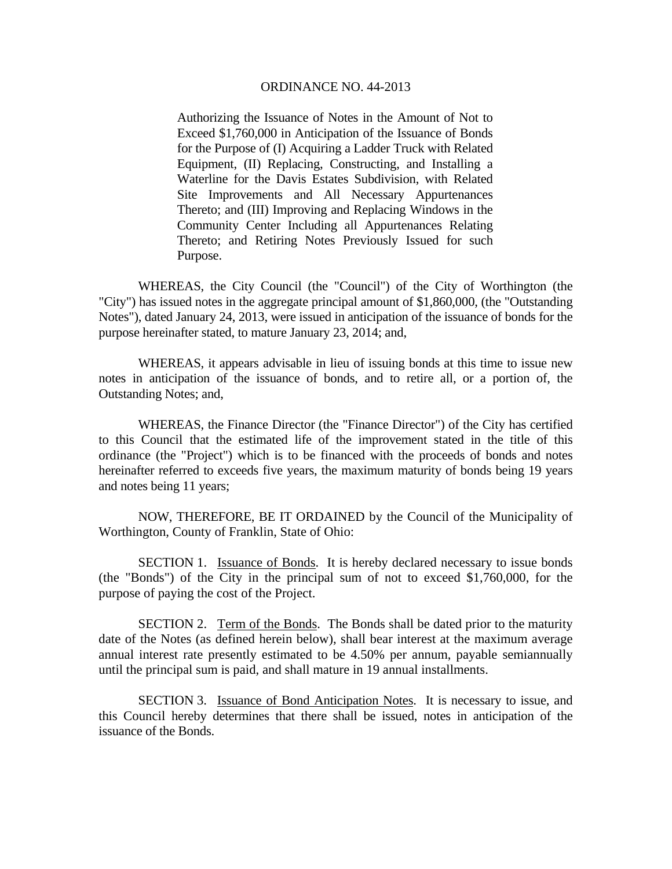Authorizing the Issuance of Notes in the Amount of Not to Exceed \$1,760,000 in Anticipation of the Issuance of Bonds for the Purpose of (I) Acquiring a Ladder Truck with Related Equipment, (II) Replacing, Constructing, and Installing a Waterline for the Davis Estates Subdivision, with Related Site Improvements and All Necessary Appurtenances Thereto; and (III) Improving and Replacing Windows in the Community Center Including all Appurtenances Relating Thereto; and Retiring Notes Previously Issued for such Purpose.

 WHEREAS, the City Council (the "Council") of the City of Worthington (the "City") has issued notes in the aggregate principal amount of \$1,860,000, (the "Outstanding Notes"), dated January 24, 2013, were issued in anticipation of the issuance of bonds for the purpose hereinafter stated, to mature January 23, 2014; and,

 WHEREAS, it appears advisable in lieu of issuing bonds at this time to issue new notes in anticipation of the issuance of bonds, and to retire all, or a portion of, the Outstanding Notes; and,

 WHEREAS, the Finance Director (the "Finance Director") of the City has certified to this Council that the estimated life of the improvement stated in the title of this ordinance (the "Project") which is to be financed with the proceeds of bonds and notes hereinafter referred to exceeds five years, the maximum maturity of bonds being 19 years and notes being 11 years;

 NOW, THEREFORE, BE IT ORDAINED by the Council of the Municipality of Worthington, County of Franklin, State of Ohio:

SECTION 1. Issuance of Bonds. It is hereby declared necessary to issue bonds (the "Bonds") of the City in the principal sum of not to exceed \$1,760,000, for the purpose of paying the cost of the Project.

SECTION 2. Term of the Bonds. The Bonds shall be dated prior to the maturity date of the Notes (as defined herein below), shall bear interest at the maximum average annual interest rate presently estimated to be 4.50% per annum, payable semiannually until the principal sum is paid, and shall mature in 19 annual installments.

SECTION 3. Issuance of Bond Anticipation Notes. It is necessary to issue, and this Council hereby determines that there shall be issued, notes in anticipation of the issuance of the Bonds.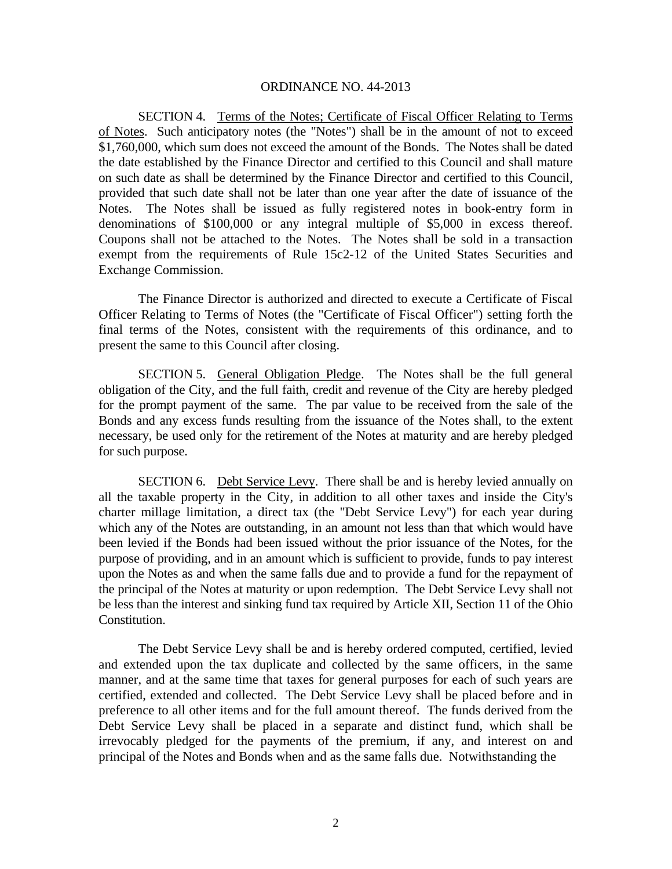SECTION 4. Terms of the Notes; Certificate of Fiscal Officer Relating to Terms of Notes. Such anticipatory notes (the "Notes") shall be in the amount of not to exceed \$1,760,000, which sum does not exceed the amount of the Bonds. The Notes shall be dated the date established by the Finance Director and certified to this Council and shall mature on such date as shall be determined by the Finance Director and certified to this Council, provided that such date shall not be later than one year after the date of issuance of the Notes. The Notes shall be issued as fully registered notes in book-entry form in denominations of \$100,000 or any integral multiple of \$5,000 in excess thereof. Coupons shall not be attached to the Notes. The Notes shall be sold in a transaction exempt from the requirements of Rule 15c2-12 of the United States Securities and Exchange Commission.

 The Finance Director is authorized and directed to execute a Certificate of Fiscal Officer Relating to Terms of Notes (the "Certificate of Fiscal Officer") setting forth the final terms of the Notes, consistent with the requirements of this ordinance, and to present the same to this Council after closing.

SECTION 5. General Obligation Pledge. The Notes shall be the full general obligation of the City, and the full faith, credit and revenue of the City are hereby pledged for the prompt payment of the same. The par value to be received from the sale of the Bonds and any excess funds resulting from the issuance of the Notes shall, to the extent necessary, be used only for the retirement of the Notes at maturity and are hereby pledged for such purpose.

SECTION 6. Debt Service Levy. There shall be and is hereby levied annually on all the taxable property in the City, in addition to all other taxes and inside the City's charter millage limitation, a direct tax (the "Debt Service Levy") for each year during which any of the Notes are outstanding, in an amount not less than that which would have been levied if the Bonds had been issued without the prior issuance of the Notes, for the purpose of providing, and in an amount which is sufficient to provide, funds to pay interest upon the Notes as and when the same falls due and to provide a fund for the repayment of the principal of the Notes at maturity or upon redemption. The Debt Service Levy shall not be less than the interest and sinking fund tax required by Article XII, Section 11 of the Ohio Constitution.

The Debt Service Levy shall be and is hereby ordered computed, certified, levied and extended upon the tax duplicate and collected by the same officers, in the same manner, and at the same time that taxes for general purposes for each of such years are certified, extended and collected. The Debt Service Levy shall be placed before and in preference to all other items and for the full amount thereof. The funds derived from the Debt Service Levy shall be placed in a separate and distinct fund, which shall be irrevocably pledged for the payments of the premium, if any, and interest on and principal of the Notes and Bonds when and as the same falls due. Notwithstanding the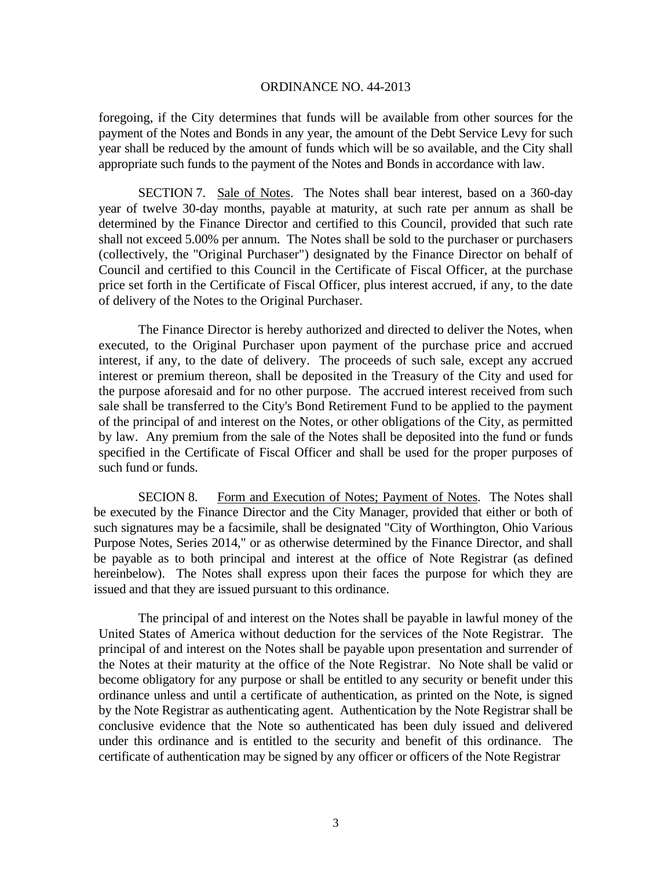foregoing, if the City determines that funds will be available from other sources for the payment of the Notes and Bonds in any year, the amount of the Debt Service Levy for such year shall be reduced by the amount of funds which will be so available, and the City shall appropriate such funds to the payment of the Notes and Bonds in accordance with law.

SECTION 7. Sale of Notes. The Notes shall bear interest, based on a 360-day year of twelve 30-day months, payable at maturity, at such rate per annum as shall be determined by the Finance Director and certified to this Council, provided that such rate shall not exceed 5.00% per annum. The Notes shall be sold to the purchaser or purchasers (collectively, the "Original Purchaser") designated by the Finance Director on behalf of Council and certified to this Council in the Certificate of Fiscal Officer, at the purchase price set forth in the Certificate of Fiscal Officer, plus interest accrued, if any, to the date of delivery of the Notes to the Original Purchaser.

 The Finance Director is hereby authorized and directed to deliver the Notes, when executed, to the Original Purchaser upon payment of the purchase price and accrued interest, if any, to the date of delivery. The proceeds of such sale, except any accrued interest or premium thereon, shall be deposited in the Treasury of the City and used for the purpose aforesaid and for no other purpose. The accrued interest received from such sale shall be transferred to the City's Bond Retirement Fund to be applied to the payment of the principal of and interest on the Notes, or other obligations of the City, as permitted by law. Any premium from the sale of the Notes shall be deposited into the fund or funds specified in the Certificate of Fiscal Officer and shall be used for the proper purposes of such fund or funds.

SECION 8. Form and Execution of Notes; Payment of Notes. The Notes shall be executed by the Finance Director and the City Manager, provided that either or both of such signatures may be a facsimile, shall be designated "City of Worthington, Ohio Various Purpose Notes, Series 2014," or as otherwise determined by the Finance Director, and shall be payable as to both principal and interest at the office of Note Registrar (as defined hereinbelow). The Notes shall express upon their faces the purpose for which they are issued and that they are issued pursuant to this ordinance.

The principal of and interest on the Notes shall be payable in lawful money of the United States of America without deduction for the services of the Note Registrar. The principal of and interest on the Notes shall be payable upon presentation and surrender of the Notes at their maturity at the office of the Note Registrar. No Note shall be valid or become obligatory for any purpose or shall be entitled to any security or benefit under this ordinance unless and until a certificate of authentication, as printed on the Note, is signed by the Note Registrar as authenticating agent. Authentication by the Note Registrar shall be conclusive evidence that the Note so authenticated has been duly issued and delivered under this ordinance and is entitled to the security and benefit of this ordinance. The certificate of authentication may be signed by any officer or officers of the Note Registrar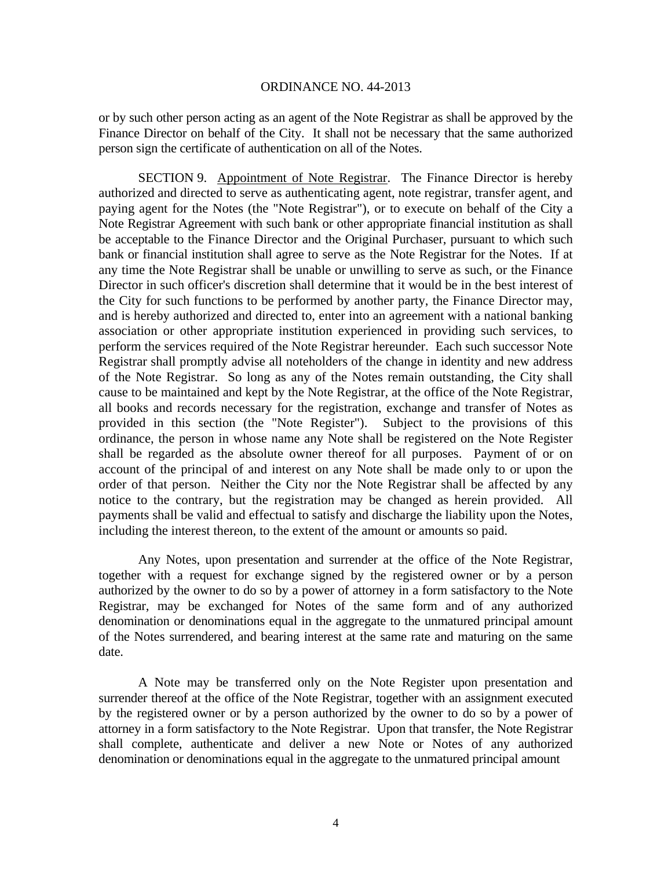or by such other person acting as an agent of the Note Registrar as shall be approved by the Finance Director on behalf of the City. It shall not be necessary that the same authorized person sign the certificate of authentication on all of the Notes.

SECTION 9. Appointment of Note Registrar. The Finance Director is hereby authorized and directed to serve as authenticating agent, note registrar, transfer agent, and paying agent for the Notes (the "Note Registrar"), or to execute on behalf of the City a Note Registrar Agreement with such bank or other appropriate financial institution as shall be acceptable to the Finance Director and the Original Purchaser, pursuant to which such bank or financial institution shall agree to serve as the Note Registrar for the Notes. If at any time the Note Registrar shall be unable or unwilling to serve as such, or the Finance Director in such officer's discretion shall determine that it would be in the best interest of the City for such functions to be performed by another party, the Finance Director may, and is hereby authorized and directed to, enter into an agreement with a national banking association or other appropriate institution experienced in providing such services, to perform the services required of the Note Registrar hereunder. Each such successor Note Registrar shall promptly advise all noteholders of the change in identity and new address of the Note Registrar. So long as any of the Notes remain outstanding, the City shall cause to be maintained and kept by the Note Registrar, at the office of the Note Registrar, all books and records necessary for the registration, exchange and transfer of Notes as provided in this section (the "Note Register"). Subject to the provisions of this ordinance, the person in whose name any Note shall be registered on the Note Register shall be regarded as the absolute owner thereof for all purposes. Payment of or on account of the principal of and interest on any Note shall be made only to or upon the order of that person. Neither the City nor the Note Registrar shall be affected by any notice to the contrary, but the registration may be changed as herein provided. All payments shall be valid and effectual to satisfy and discharge the liability upon the Notes, including the interest thereon, to the extent of the amount or amounts so paid.

Any Notes, upon presentation and surrender at the office of the Note Registrar, together with a request for exchange signed by the registered owner or by a person authorized by the owner to do so by a power of attorney in a form satisfactory to the Note Registrar, may be exchanged for Notes of the same form and of any authorized denomination or denominations equal in the aggregate to the unmatured principal amount of the Notes surrendered, and bearing interest at the same rate and maturing on the same date.

A Note may be transferred only on the Note Register upon presentation and surrender thereof at the office of the Note Registrar, together with an assignment executed by the registered owner or by a person authorized by the owner to do so by a power of attorney in a form satisfactory to the Note Registrar. Upon that transfer, the Note Registrar shall complete, authenticate and deliver a new Note or Notes of any authorized denomination or denominations equal in the aggregate to the unmatured principal amount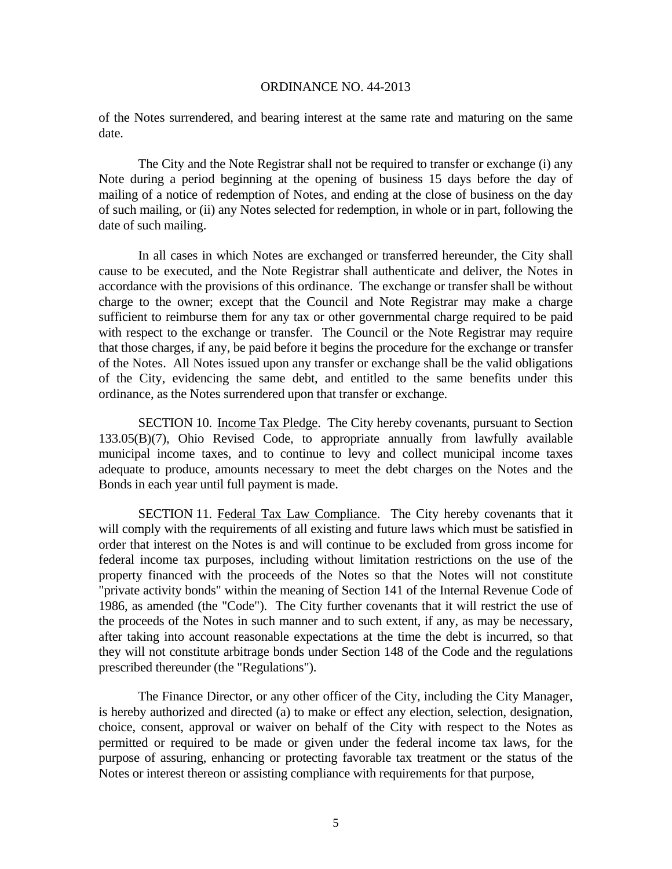of the Notes surrendered, and bearing interest at the same rate and maturing on the same date.

The City and the Note Registrar shall not be required to transfer or exchange (i) any Note during a period beginning at the opening of business 15 days before the day of mailing of a notice of redemption of Notes, and ending at the close of business on the day of such mailing, or (ii) any Notes selected for redemption, in whole or in part, following the date of such mailing.

In all cases in which Notes are exchanged or transferred hereunder, the City shall cause to be executed, and the Note Registrar shall authenticate and deliver, the Notes in accordance with the provisions of this ordinance. The exchange or transfer shall be without charge to the owner; except that the Council and Note Registrar may make a charge sufficient to reimburse them for any tax or other governmental charge required to be paid with respect to the exchange or transfer. The Council or the Note Registrar may require that those charges, if any, be paid before it begins the procedure for the exchange or transfer of the Notes. All Notes issued upon any transfer or exchange shall be the valid obligations of the City, evidencing the same debt, and entitled to the same benefits under this ordinance, as the Notes surrendered upon that transfer or exchange.

SECTION 10. Income Tax Pledge. The City hereby covenants, pursuant to Section 133.05(B)(7), Ohio Revised Code, to appropriate annually from lawfully available municipal income taxes, and to continue to levy and collect municipal income taxes adequate to produce, amounts necessary to meet the debt charges on the Notes and the Bonds in each year until full payment is made.

SECTION 11. Federal Tax Law Compliance. The City hereby covenants that it will comply with the requirements of all existing and future laws which must be satisfied in order that interest on the Notes is and will continue to be excluded from gross income for federal income tax purposes, including without limitation restrictions on the use of the property financed with the proceeds of the Notes so that the Notes will not constitute "private activity bonds" within the meaning of Section 141 of the Internal Revenue Code of 1986, as amended (the "Code"). The City further covenants that it will restrict the use of the proceeds of the Notes in such manner and to such extent, if any, as may be necessary, after taking into account reasonable expectations at the time the debt is incurred, so that they will not constitute arbitrage bonds under Section 148 of the Code and the regulations prescribed thereunder (the "Regulations").

 The Finance Director, or any other officer of the City, including the City Manager, is hereby authorized and directed (a) to make or effect any election, selection, designation, choice, consent, approval or waiver on behalf of the City with respect to the Notes as permitted or required to be made or given under the federal income tax laws, for the purpose of assuring, enhancing or protecting favorable tax treatment or the status of the Notes or interest thereon or assisting compliance with requirements for that purpose,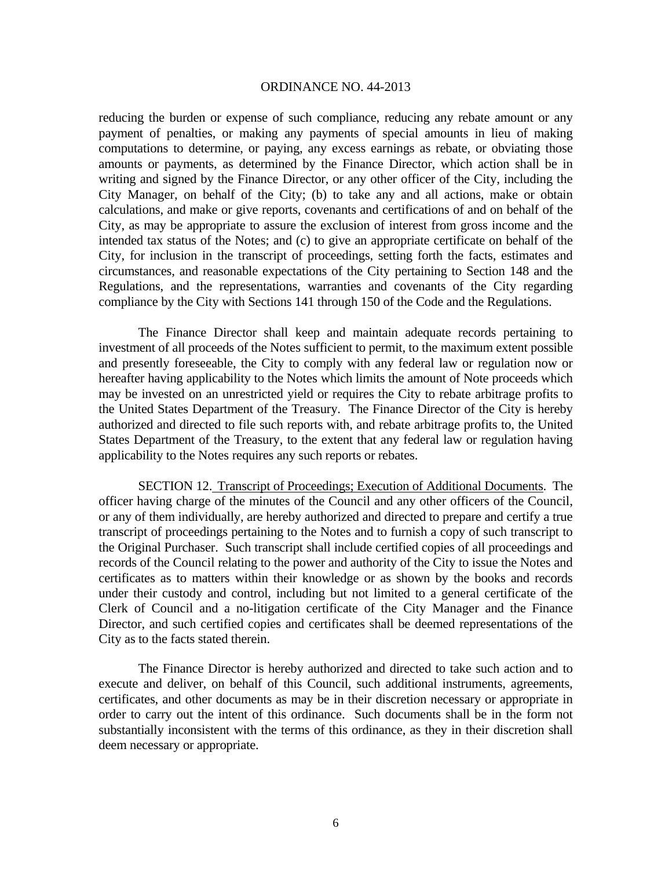reducing the burden or expense of such compliance, reducing any rebate amount or any payment of penalties, or making any payments of special amounts in lieu of making computations to determine, or paying, any excess earnings as rebate, or obviating those amounts or payments, as determined by the Finance Director, which action shall be in writing and signed by the Finance Director, or any other officer of the City, including the City Manager, on behalf of the City; (b) to take any and all actions, make or obtain calculations, and make or give reports, covenants and certifications of and on behalf of the City, as may be appropriate to assure the exclusion of interest from gross income and the intended tax status of the Notes; and (c) to give an appropriate certificate on behalf of the City, for inclusion in the transcript of proceedings, setting forth the facts, estimates and circumstances, and reasonable expectations of the City pertaining to Section 148 and the Regulations, and the representations, warranties and covenants of the City regarding compliance by the City with Sections 141 through 150 of the Code and the Regulations.

 The Finance Director shall keep and maintain adequate records pertaining to investment of all proceeds of the Notes sufficient to permit, to the maximum extent possible and presently foreseeable, the City to comply with any federal law or regulation now or hereafter having applicability to the Notes which limits the amount of Note proceeds which may be invested on an unrestricted yield or requires the City to rebate arbitrage profits to the United States Department of the Treasury. The Finance Director of the City is hereby authorized and directed to file such reports with, and rebate arbitrage profits to, the United States Department of the Treasury, to the extent that any federal law or regulation having applicability to the Notes requires any such reports or rebates.

SECTION 12. Transcript of Proceedings; Execution of Additional Documents. The officer having charge of the minutes of the Council and any other officers of the Council, or any of them individually, are hereby authorized and directed to prepare and certify a true transcript of proceedings pertaining to the Notes and to furnish a copy of such transcript to the Original Purchaser. Such transcript shall include certified copies of all proceedings and records of the Council relating to the power and authority of the City to issue the Notes and certificates as to matters within their knowledge or as shown by the books and records under their custody and control, including but not limited to a general certificate of the Clerk of Council and a no-litigation certificate of the City Manager and the Finance Director, and such certified copies and certificates shall be deemed representations of the City as to the facts stated therein.

 The Finance Director is hereby authorized and directed to take such action and to execute and deliver, on behalf of this Council, such additional instruments, agreements, certificates, and other documents as may be in their discretion necessary or appropriate in order to carry out the intent of this ordinance. Such documents shall be in the form not substantially inconsistent with the terms of this ordinance, as they in their discretion shall deem necessary or appropriate.